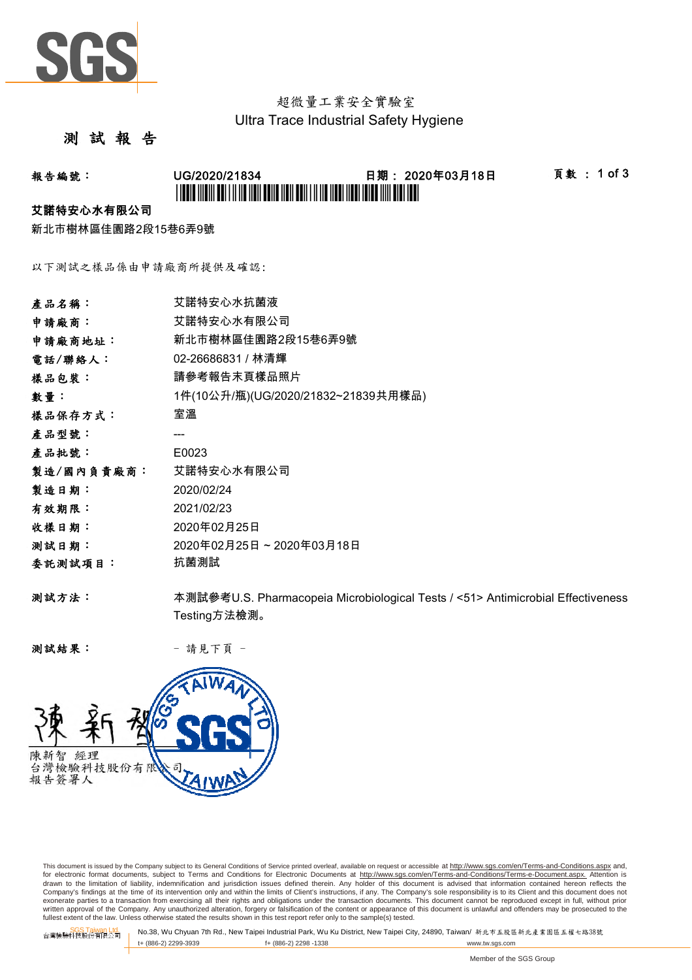

# 超微量工業安全實驗室 Ultra Trace Industrial Safety Hygiene

## 測 試 報 告

## 報告編號: UG/2020/21834 日期: 2020年03月18日 頁數 : 1 of 3 \*UGCA AND AN EIL AN DER BEHE HEN BEHE IN 1988 HEN HEN HEN HAD AN EIL EI

#### 艾諾特安心水有限公司

新北市樹林區佳園路2段15巷6弄9號

以下測試之樣品係由申請廠商所提供及確認:

| 產品名稱:      | 艾諾特安心水抗菌液                                                                       |
|------------|---------------------------------------------------------------------------------|
| 申請廠商:      | 艾諾特安心水有限公司                                                                      |
| 申請廠商地址:    | 新北市樹林區佳園路2段15巷6弄9號                                                              |
| 電話/聯絡人:    | 02-26686831 / 林清輝                                                               |
| 樣品包裝:      | 請參考報告末頁樣品照片                                                                     |
| 數量:        | 1件(10公升/瓶)(UG/2020/21832~21839共用樣品)                                             |
| 樣品保存方式:    | 室溫                                                                              |
| 產品型號:      |                                                                                 |
| 產品批號:      | E0023                                                                           |
| 製造/國內負責廠商: | 艾諾特安心水有限公司                                                                      |
| 製造日期:      | 2020/02/24                                                                      |
| 有效期限:      | 2021/02/23                                                                      |
| 收樣日期:      | 2020年02月25日                                                                     |
| 测試日期:      | 2020年02月25日~2020年03月18日                                                         |
| 委託測試項目:    | 抗菌測試                                                                            |
| 测試方法:      | 本測試參考U.S. Pharmacopeia Microbiological Tests / <51> Antimicrobial Effectiveness |
|            | Testing方法檢測。                                                                    |

测試結果: - 請見下頁 -



This document is issued by the Company subject to its General Conditions of Service printed overleaf, available on request or accessible at http://www.sgs.com/en/Terms-and-Conditions.aspx and, for electronic format documents, subject to Terms and Conditions for Electronic Documents at <u>http://www.sqs.com/en/Terms-and-Conditions/Terms-e-Document.aspx.</u> Attention is<br>drawn to the limitation of liability, indemnific exonerate parties to a transaction from exercising all their rights and obligations under the transaction documents. This document cannot be reproduced except in full, without prior prior<br>written approval of the Company. A

SGS Taiwan Ltd. No.38, Wu Chyuan 7th Rd., New Taipei Industrial Park, Wu Ku District, New Taipei City, 24890, Taiwan/ 新北市五股區新北產業園區五權七路38號<br>| t+ (886-2) 2299-3939 f+ (886-2) 2298 -1338 www.tw. t+ (886-2) 2299-3939 f+ (886-2) 2298 -1338 www.tw.sgs.com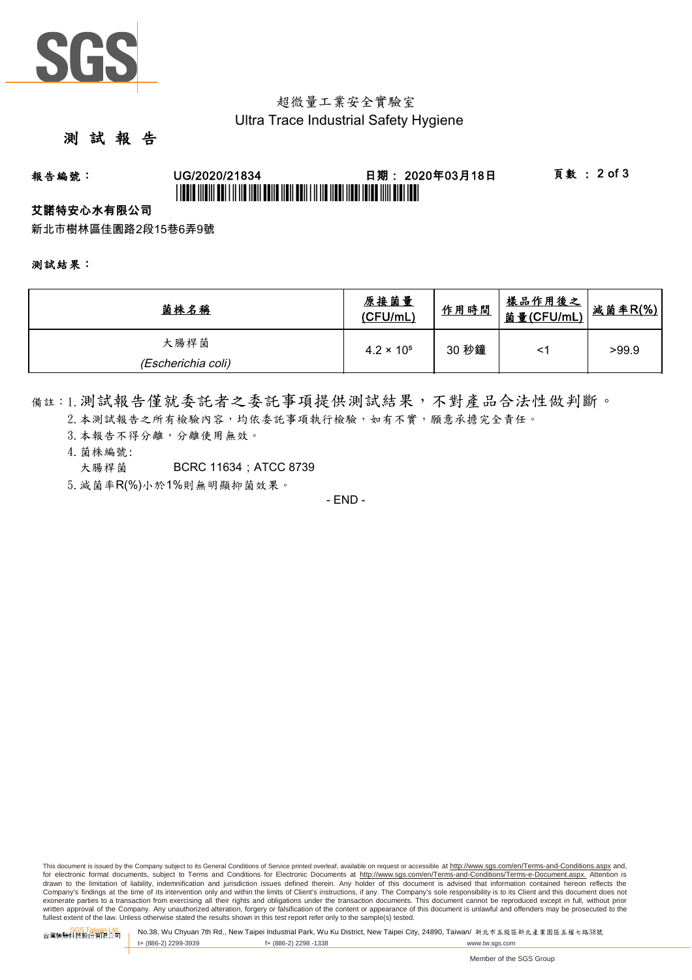

## 超微量工業安全實驗室 Ultra Trace Industrial Safety Hygiene

## 測 試 報 告

# 報告編號: UG/2020/21834 日期: 2020年03月18日 頁數 : 2 of 3 \*UGBIT INDIVI ABI I II IID NON BANA NAN ABIN I II NA NABI NABI IBID INN BIBI IBID I

### 艾諾特安心水有限公司

新北市樹林區佳園路2段15巷6弄9號

#### 測試結果:

| 菌株名稱                       | 原接菌量<br>(CFU/mL)    | 作用時間  | <u>樣品作用後之</u><br>菌量(CFU/mL) | <u>減菌率R(%)</u> |
|----------------------------|---------------------|-------|-----------------------------|----------------|
| 大腸桿菌<br>(Escherichia coli) | $4.2 \times 10^{5}$ | 30 秒鐘 | <                           | >99.9          |

備註:1.測試報告僅就委託者之委託事項提供測試結果,不對產品合法性做判斷。

- 2. 本測試報告之所有檢驗內容,均依委託事項執行檢驗,如有不實,願意承擔完全責任。
- 3. 本報告不得分離,分離使用無效。
- 4.菌株編號:
	- 大腸桿菌 BCRC 11634: ATCC 8739

5.減菌率R(%)小於1%則無明顯抑菌效果。

- END -

This document is issued by the Company subject to its General Conditions of Service printed overleaf, available on request or accessible at http://www.sqs.com/en/Terms-and-Conditions.aspx and, for electronic format documents, subject to Terms and Conditions for Electronic Documents at http://www.sgs.com/en/Terms-and-Conditions/Terms-e-Document.aspx. Attention is drawn to the limitation of liability, indemnification and jurisdiction issues defined therein. Any holder of this document is advised that information contained hereon reflects the<br>Company's findings at the time of its int exonerate parties to a transaction from exercising all their rights and obligations under the transaction documents. This document cannot be reproduced except in full, without prior written approval of the Company. Any unauthorized alteration, forgery or falsification of the content or appearance of this document is unlawful and offenders may be prosecuted to the<br>fullest extent of the law. Unless othe